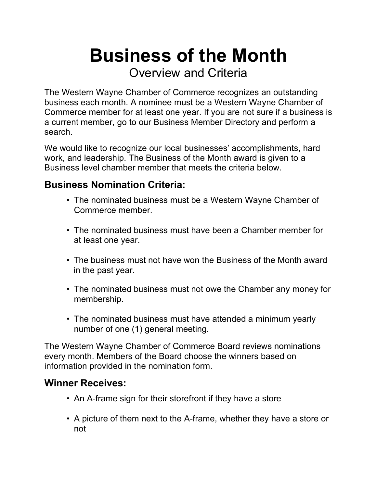**Business of the Month**

Overview and Criteria

The Western Wayne Chamber of Commerce recognizes an outstanding business each month. A nominee must be a Western Wayne Chamber of Commerce member for at least one year. If you are not sure if a business is a current member, go to our Business Member Directory and perform a search.

We would like to recognize our local businesses' accomplishments, hard work, and leadership. The Business of the Month award is given to a Business level chamber member that meets the criteria below.

## **Business Nomination Criteria:**

- The nominated business must be a Western Wayne Chamber of Commerce member.
- ! The nominated business must have been a Chamber member for at least one year.
- ! The business must not have won the Business of the Month award in the past year.
- The nominated business must not owe the Chamber any money for membership.
- The nominated business must have attended a minimum yearly number of one (1) general meeting.

The Western Wayne Chamber of Commerce Board reviews nominations every month. Members of the Board choose the winners based on information provided in the nomination form.

## **Winner Receives:**

- An A-frame sign for their storefront if they have a store
- ! A picture of them next to the A-frame, whether they have a store or not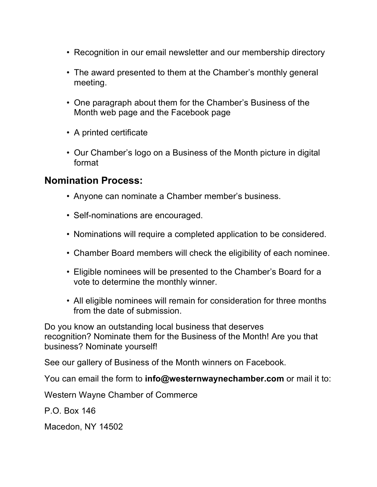- ! Recognition in our email newsletter and our membership directory
- The award presented to them at the Chamber's monthly general meeting.
- One paragraph about them for the Chamber's Business of the Month web page and the Facebook page
- A printed certificate
- Our Chamber's logo on a Business of the Month picture in digital format

## **Nomination Process:**

- Anyone can nominate a Chamber member's business.
- Self-nominations are encouraged.
- ! Nominations will require a completed application to be considered.
- Chamber Board members will check the eligibility of each nominee.
- ! Eligible nominees will be presented to the Chamber's Board for a vote to determine the monthly winner.
- All eligible nominees will remain for consideration for three months from the date of submission.

Do you know an outstanding local business that deserves recognition? Nominate them for the Business of the Month! Are you that business? Nominate yourself!

See our gallery of Business of the Month winners on Facebook.

You can email the form to **info@westernwaynechamber.com** or mail it to:

Western Wayne Chamber of Commerce

P.O. Box 146

Macedon, NY 14502